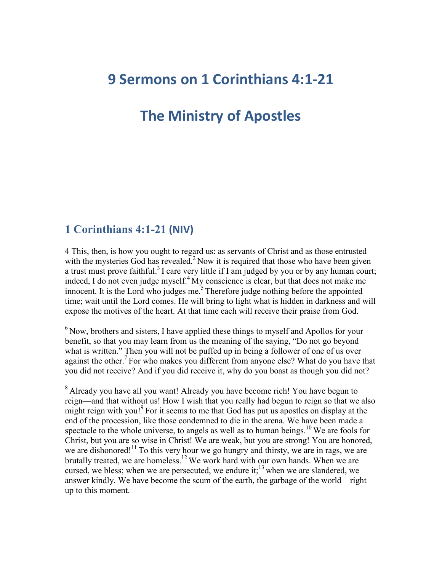# **9 Sermons on 1 Corinthians 4:1-21**

# **The Ministry of Apostles**

# **1 Corinthians 4:1-21 (NIV)**

4 This, then, is how you ought to regard us: as servants of Christ and as those entrusted with the mysteries God has revealed.<sup>2</sup> Now it is required that those who have been given a trust must prove faithful.<sup>3</sup> I care very little if I am judged by you or by any human court; indeed, I do not even judge myself.<sup>4</sup> My conscience is clear, but that does not make me innocent. It is the Lord who judges me.<sup>5</sup> Therefore judge nothing before the appointed time; wait until the Lord comes. He will bring to light what is hidden in darkness and will expose the motives of the heart. At that time each will receive their praise from God.

 $6$  Now, brothers and sisters, I have applied these things to myself and Apollos for your benefit, so that you may learn from us the meaning of the saying, "Do not go beyond what is written." Then you will not be puffed up in being a follower of one of us over against the other.<sup>7</sup> For who makes you different from anyone else? What do you have that you did not receive? And if you did receive it, why do you boast as though you did not?

<sup>8</sup> Already you have all you want! Already you have become rich! You have begun to reign—and that without us! How I wish that you really had begun to reign so that we also might reign with you!<sup>9</sup> For it seems to me that God has put us apostles on display at the end of the procession, like those condemned to die in the arena. We have been made a spectacle to the whole universe, to angels as well as to human beings.<sup>10</sup> We are fools for Christ, but you are so wise in Christ! We are weak, but you are strong! You are honored, we are dishonored!<sup>11</sup> To this very hour we go hungry and thirsty, we are in rags, we are brutally treated, we are homeless.<sup>12</sup> We work hard with our own hands. When we are cursed, we bless; when we are persecuted, we endure it;<sup>13</sup> when we are slandered, we answer kindly. We have become the scum of the earth, the garbage of the world—right up to this moment.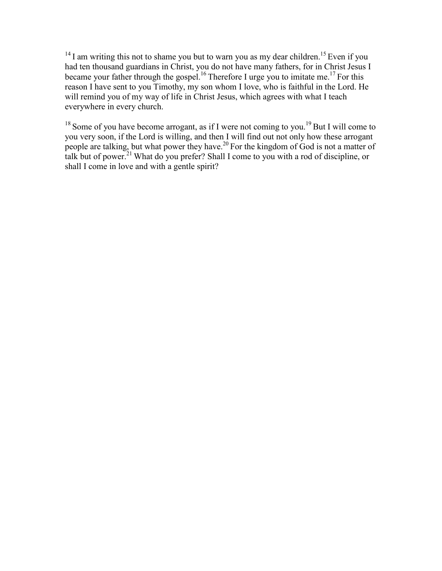$14$  I am writing this not to shame you but to warn you as my dear children.<sup>15</sup> Even if you had ten thousand guardians in Christ, you do not have many fathers, for in Christ Jesus I became your father through the gospel.<sup>16</sup> Therefore I urge you to imitate me.<sup>17</sup> For this reason I have sent to you Timothy, my son whom I love, who is faithful in the Lord. He will remind you of my way of life in Christ Jesus, which agrees with what I teach everywhere in every church.

 $18$  Some of you have become arrogant, as if I were not coming to you.<sup>19</sup> But I will come to you very soon, if the Lord is willing, and then I will find out not only how these arrogant people are talking, but what power they have.<sup>20</sup> For the kingdom of God is not a matter of talk but of power.<sup>21</sup> What do you prefer? Shall I come to you with a rod of discipline, or shall I come in love and with a gentle spirit?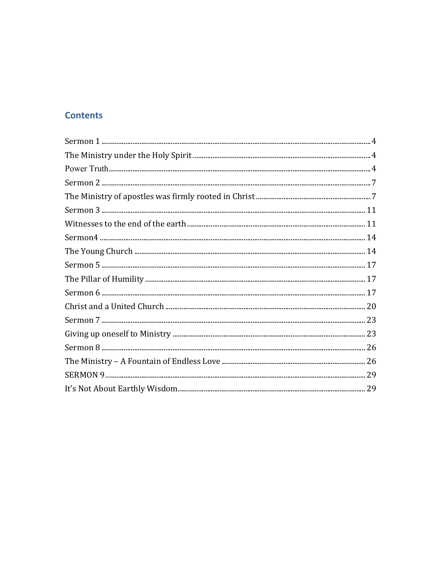## **Contents**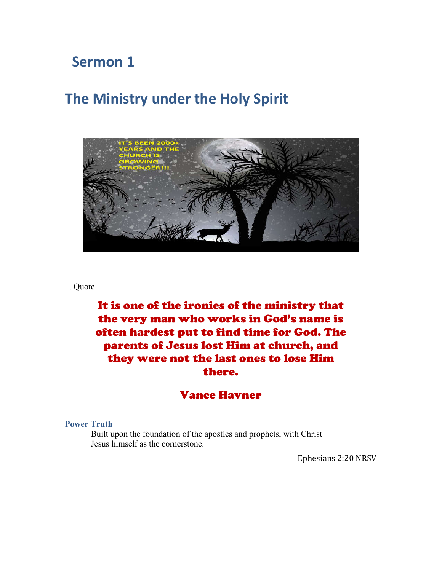# **The Ministry under the Holy Spirit**



#### 1. Quote

# It is one of the ironies of the ministry that the very man who works in God's name is often hardest put to find time for God. The parents of Jesus lost Him at church, and they were not the last ones to lose Him there.

# Vance Havner

#### **Power Truth**

Built upon the foundation of the apostles and prophets, with Christ Jesus himself as the cornerstone.

Ephesians 2:20 NRSV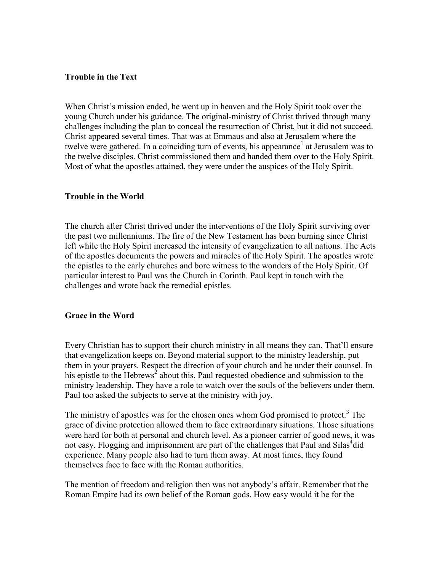### **Trouble in the Text**

When Christ's mission ended, he went up in heaven and the Holy Spirit took over the young Church under his guidance. The original-ministry of Christ thrived through many challenges including the plan to conceal the resurrection of Christ, but it did not succeed. Christ appeared several times. That was at Emmaus and also at Jerusalem where the twelve were gathered. In a coinciding turn of events, his appearance<sup>1</sup> at Jerusalem was to the twelve disciples. Christ commissioned them and handed them over to the Holy Spirit. Most of what the apostles attained, they were under the auspices of the Holy Spirit.

### **Trouble in the World**

The church after Christ thrived under the interventions of the Holy Spirit surviving over the past two millenniums. The fire of the New Testament has been burning since Christ left while the Holy Spirit increased the intensity of evangelization to all nations. The Acts of the apostles documents the powers and miracles of the Holy Spirit. The apostles wrote the epistles to the early churches and bore witness to the wonders of the Holy Spirit. Of particular interest to Paul was the Church in Corinth. Paul kept in touch with the challenges and wrote back the remedial epistles.

### **Grace in the Word**

Every Christian has to support their church ministry in all means they can. That'll ensure that evangelization keeps on. Beyond material support to the ministry leadership, put them in your prayers. Respect the direction of your church and be under their counsel. In his epistle to the Hebrews<sup>2</sup> about this, Paul requested obedience and submission to the ministry leadership. They have a role to watch over the souls of the believers under them. Paul too asked the subjects to serve at the ministry with joy.

The ministry of apostles was for the chosen ones whom God promised to protect.<sup>3</sup> The grace of divine protection allowed them to face extraordinary situations. Those situations were hard for both at personal and church level. As a pioneer carrier of good news, it was not easy. Flogging and imprisonment are part of the challenges that Paul and Silas<sup>4</sup>did experience. Many people also had to turn them away. At most times, they found themselves face to face with the Roman authorities.

The mention of freedom and religion then was not anybody's affair. Remember that the Roman Empire had its own belief of the Roman gods. How easy would it be for the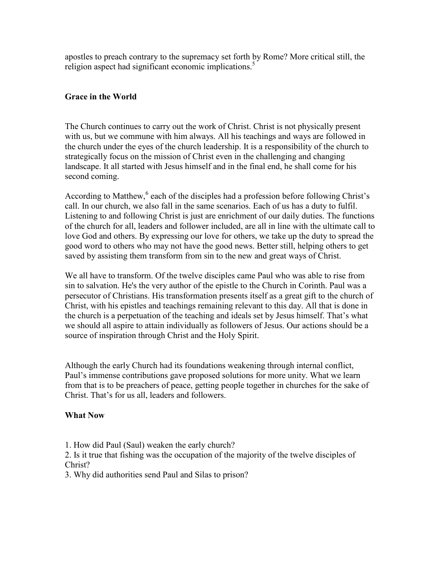apostles to preach contrary to the supremacy set forth by Rome? More critical still, the religion aspect had significant economic implications.<sup>5</sup>

## **Grace in the World**

The Church continues to carry out the work of Christ. Christ is not physically present with us, but we commune with him always. All his teachings and ways are followed in the church under the eyes of the church leadership. It is a responsibility of the church to strategically focus on the mission of Christ even in the challenging and changing landscape. It all started with Jesus himself and in the final end, he shall come for his second coming.

According to Matthew,<sup>6</sup> each of the disciples had a profession before following Christ's call. In our church, we also fall in the same scenarios. Each of us has a duty to fulfil. Listening to and following Christ is just are enrichment of our daily duties. The functions of the church for all, leaders and follower included, are all in line with the ultimate call to love God and others. By expressing our love for others, we take up the duty to spread the good word to others who may not have the good news. Better still, helping others to get saved by assisting them transform from sin to the new and great ways of Christ.

We all have to transform. Of the twelve disciples came Paul who was able to rise from sin to salvation. He's the very author of the epistle to the Church in Corinth. Paul was a persecutor of Christians. His transformation presents itself as a great gift to the church of Christ, with his epistles and teachings remaining relevant to this day. All that is done in the church is a perpetuation of the teaching and ideals set by Jesus himself. That's what we should all aspire to attain individually as followers of Jesus. Our actions should be a source of inspiration through Christ and the Holy Spirit.

Although the early Church had its foundations weakening through internal conflict, Paul's immense contributions gave proposed solutions for more unity. What we learn from that is to be preachers of peace, getting people together in churches for the sake of Christ. That's for us all, leaders and followers.

### **What Now**

1. How did Paul (Saul) weaken the early church?

2. Is it true that fishing was the occupation of the majority of the twelve disciples of Christ?

3. Why did authorities send Paul and Silas to prison?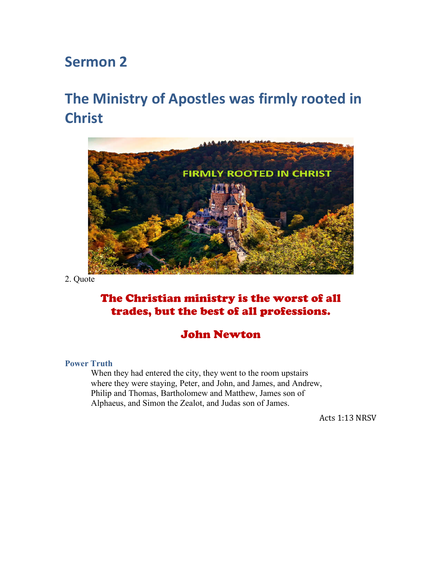# **The Ministry of Apostles was firmly rooted in Christ**



2. Quote

# The Christian ministry is the worst of all trades, but the best of all professions.

# John Newton

#### **Power Truth**

When they had entered the city, they went to the room upstairs where they were staying, Peter, and John, and James, and Andrew, Philip and Thomas, Bartholomew and Matthew, James son of Alphaeus, and Simon the Zealot, and Judas son of James.

Acts 1:13 NRSV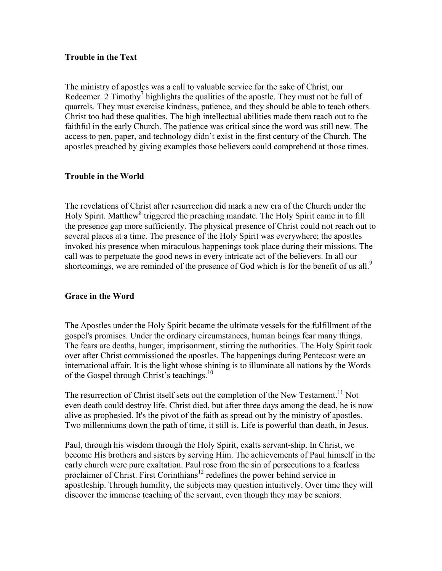### **Trouble in the Text**

The ministry of apostles was a call to valuable service for the sake of Christ, our Redeemer. 2 Timothy<sup>7</sup> highlights the qualities of the apostle. They must not be full of quarrels. They must exercise kindness, patience, and they should be able to teach others. Christ too had these qualities. The high intellectual abilities made them reach out to the faithful in the early Church. The patience was critical since the word was still new. The access to pen, paper, and technology didn't exist in the first century of the Church. The apostles preached by giving examples those believers could comprehend at those times.

### **Trouble in the World**

The revelations of Christ after resurrection did mark a new era of the Church under the Holy Spirit. Matthew<sup>8</sup> triggered the preaching mandate. The Holy Spirit came in to fill the presence gap more sufficiently. The physical presence of Christ could not reach out to several places at a time. The presence of the Holy Spirit was everywhere; the apostles invoked his presence when miraculous happenings took place during their missions. The call was to perpetuate the good news in every intricate act of the believers. In all our shortcomings, we are reminded of the presence of God which is for the benefit of us all.<sup>9</sup>

### **Grace in the Word**

The Apostles under the Holy Spirit became the ultimate vessels for the fulfillment of the gospel's promises. Under the ordinary circumstances, human beings fear many things. The fears are deaths, hunger, imprisonment, stirring the authorities. The Holy Spirit took over after Christ commissioned the apostles. The happenings during Pentecost were an international affair. It is the light whose shining is to illuminate all nations by the Words of the Gospel through Christ's teachings.<sup>10</sup>

The resurrection of Christ itself sets out the completion of the New Testament.<sup>11</sup> Not even death could destroy life. Christ died, but after three days among the dead, he is now alive as prophesied. It's the pivot of the faith as spread out by the ministry of apostles. Two millenniums down the path of time, it still is. Life is powerful than death, in Jesus.

Paul, through his wisdom through the Holy Spirit, exalts servant-ship. In Christ, we become His brothers and sisters by serving Him. The achievements of Paul himself in the early church were pure exaltation. Paul rose from the sin of persecutions to a fearless proclaimer of Christ. First Corinthians<sup>12</sup> redefines the power behind service in apostleship. Through humility, the subjects may question intuitively. Over time they will discover the immense teaching of the servant, even though they may be seniors.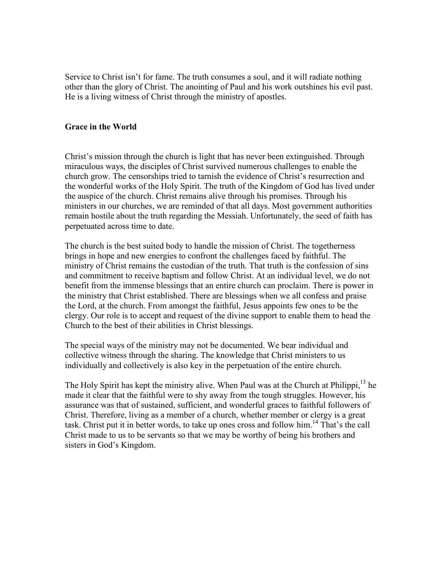Service to Christ isn't for fame. The truth consumes a soul, and it will radiate nothing other than the glory of Christ. The anointing of Paul and his work outshines his evil past. He is a living witness of Christ through the ministry of apostles.

#### **Grace in the World**

Christ's mission through the church is light that has never been extinguished. Through miraculous ways, the disciples of Christ survived numerous challenges to enable the church grow. The censorships tried to tarnish the evidence of Christ's resurrection and the wonderful works of the Holy Spirit. The truth of the Kingdom of God has lived under the auspice of the church. Christ remains alive through his promises. Through his ministers in our churches, we are reminded of that all days. Most government authorities remain hostile about the truth regarding the Messiah. Unfortunately, the seed of faith has perpetuated across time to date.

The church is the best suited body to handle the mission of Christ. The togetherness brings in hope and new energies to confront the challenges faced by faithful. The ministry of Christ remains the custodian of the truth. That truth is the confession of sins and commitment to receive baptism and follow Christ. At an individual level, we do not benefit from the immense blessings that an entire church can proclaim. There is power in the ministry that Christ established. There are blessings when we all confess and praise the Lord, at the church. From amongst the faithful, Jesus appoints few ones to be the clergy. Our role is to accept and request of the divine support to enable them to head the Church to the best of their abilities in Christ blessings.

The special ways of the ministry may not be documented. We bear individual and collective witness through the sharing. The knowledge that Christ ministers to us individually and collectively is also key in the perpetuation of the entire church.

The Holy Spirit has kept the ministry alive. When Paul was at the Church at Philippi,<sup>13</sup> he made it clear that the faithful were to shy away from the tough struggles. However, his assurance was that of sustained, sufficient, and wonderful graces to faithful followers of Christ. Therefore, living as a member of a church, whether member or clergy is a great task. Christ put it in better words, to take up ones cross and follow him. <sup>14</sup> That's the call Christ made to us to be servants so that we may be worthy of being his brothers and sisters in God's Kingdom.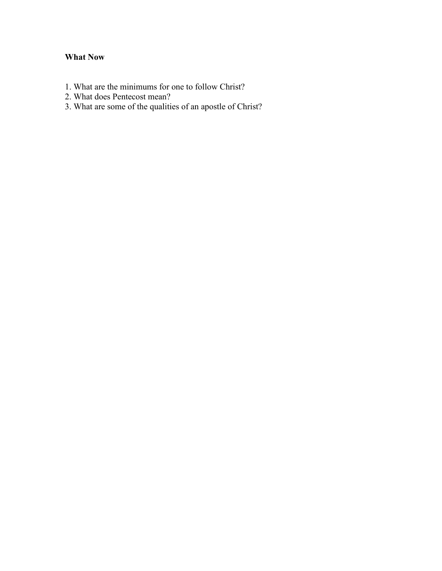## **What Now**

- 1. What are the minimums for one to follow Christ?
- 2. What does Pentecost mean?
- 3. What are some of the qualities of an apostle of Christ?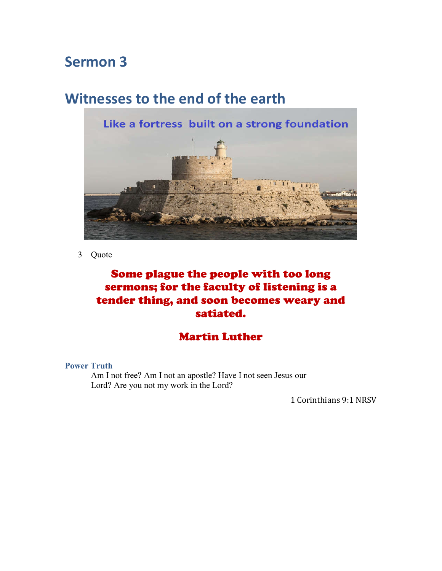# **Witnesses to the end of the earth**



3 Quote

# Some plague the people with too long sermons; for the faculty of listening is a tender thing, and soon becomes weary and satiated.

# Martin Luther

**Power Truth**

Am I not free? Am I not an apostle? Have I not seen Jesus our Lord? Are you not my work in the Lord?

1 Corinthians 9:1 NRSV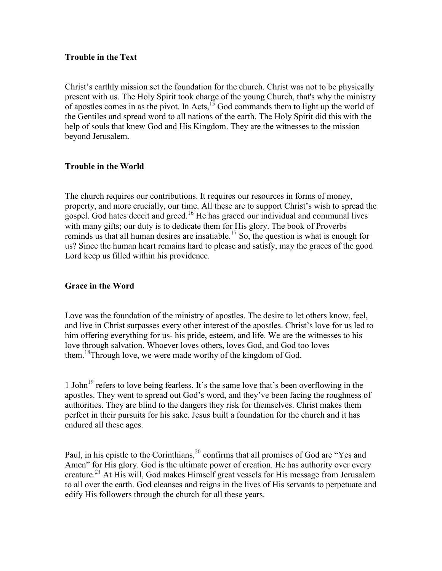### **Trouble in the Text**

Christ's earthly mission set the foundation for the church. Christ was not to be physically present with us. The Holy Spirit took charge of the young Church, that's why the ministry of apostles comes in as the pivot. In Acts,  $15$  God commands them to light up the world of the Gentiles and spread word to all nations of the earth. The Holy Spirit did this with the help of souls that knew God and His Kingdom. They are the witnesses to the mission beyond Jerusalem.

## **Trouble in the World**

The church requires our contributions. It requires our resources in forms of money, property, and more crucially, our time. All these are to support Christ's wish to spread the gospel. God hates deceit and greed.<sup>16</sup> He has graced our individual and communal lives with many gifts; our duty is to dedicate them for His glory. The book of Proverbs reminds us that all human desires are insatiable.<sup>17</sup> So, the question is what is enough for us? Since the human heart remains hard to please and satisfy, may the graces of the good Lord keep us filled within his providence.

### **Grace in the Word**

Love was the foundation of the ministry of apostles. The desire to let others know, feel, and live in Christ surpasses every other interest of the apostles. Christ's love for us led to him offering everything for us- his pride, esteem, and life. We are the witnesses to his love through salvation. Whoever loves others, loves God, and God too loves them.<sup>18</sup>Through love, we were made worthy of the kingdom of God.

1 John19 refers to love being fearless. It's the same love that's been overflowing in the apostles. They went to spread out God's word, and they've been facing the roughness of authorities. They are blind to the dangers they risk for themselves. Christ makes them perfect in their pursuits for his sake. Jesus built a foundation for the church and it has endured all these ages.

Paul, in his epistle to the Corinthians,<sup>20</sup> confirms that all promises of God are "Yes and Amen" for His glory. God is the ultimate power of creation. He has authority over every creature. <sup>21</sup> At His will, God makes Himself great vessels for His message from Jerusalem to all over the earth. God cleanses and reigns in the lives of His servants to perpetuate and edify His followers through the church for all these years.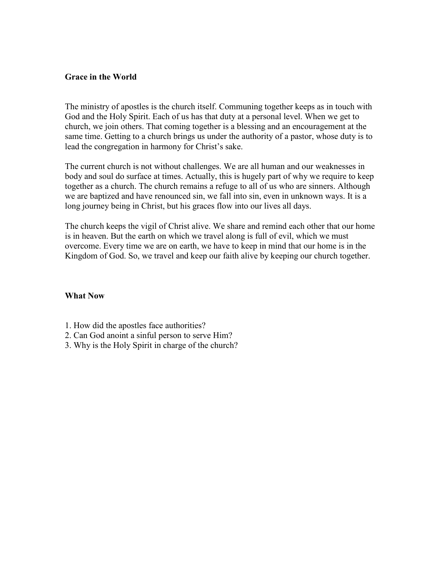#### **Grace in the World**

The ministry of apostles is the church itself. Communing together keeps as in touch with God and the Holy Spirit. Each of us has that duty at a personal level. When we get to church, we join others. That coming together is a blessing and an encouragement at the same time. Getting to a church brings us under the authority of a pastor, whose duty is to lead the congregation in harmony for Christ's sake.

The current church is not without challenges. We are all human and our weaknesses in body and soul do surface at times. Actually, this is hugely part of why we require to keep together as a church. The church remains a refuge to all of us who are sinners. Although we are baptized and have renounced sin, we fall into sin, even in unknown ways. It is a long journey being in Christ, but his graces flow into our lives all days.

The church keeps the vigil of Christ alive. We share and remind each other that our home is in heaven. But the earth on which we travel along is full of evil, which we must overcome. Every time we are on earth, we have to keep in mind that our home is in the Kingdom of God. So, we travel and keep our faith alive by keeping our church together.

#### **What Now**

- 1. How did the apostles face authorities?
- 2. Can God anoint a sinful person to serve Him?
- 3. Why is the Holy Spirit in charge of the church?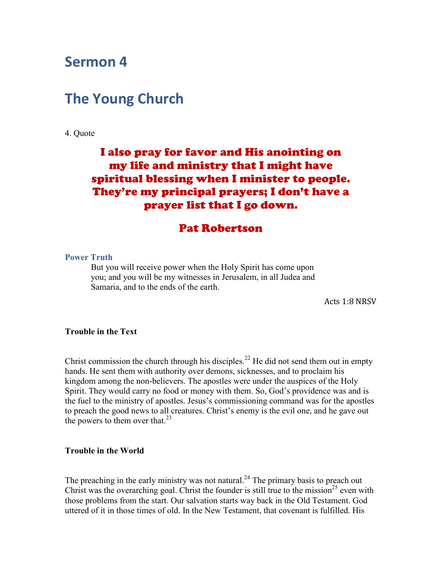# **The Young Church**

4. Quote

# I also pray for favor and His anointing on my life and ministry that I might have spiritual blessing when I minister to people. They're my principal prayers; I don't have a prayer list that I go down.

## Pat Robertson

#### **Power Truth**

But you will receive power when the Holy Spirit has come upon you; and you will be my witnesses in Jerusalem, in all Judea and Samaria, and to the ends of the earth.

Acts 1:8 NRSV

### **Trouble in the Text**

Christ commission the church through his disciples.<sup>22</sup> He did not send them out in empty hands. He sent them with authority over demons, sicknesses, and to proclaim his kingdom among the non-believers. The apostles were under the auspices of the Holy Spirit. They would carry no food or money with them. So, God's providence was and is the fuel to the ministry of apostles. Jesus's commissioning command was for the apostles to preach the good news to all creatures. Christ's enemy is the evil one, and he gave out the powers to them over that.<sup>23</sup>

#### **Trouble in the World**

The preaching in the early ministry was not natural.<sup>24</sup> The primary basis to preach out Christ was the overarching goal. Christ the founder is still true to the mission<sup>25</sup> even with those problems from the start. Our salvation starts way back in the Old Testament. God uttered of it in those times of old. In the New Testament, that covenant is fulfilled. His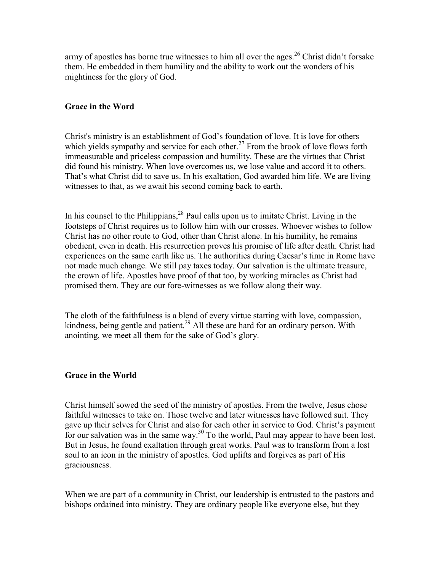army of apostles has borne true witnesses to him all over the ages.<sup>26</sup> Christ didn't forsake them. He embedded in them humility and the ability to work out the wonders of his mightiness for the glory of God.

## **Grace in the Word**

Christ's ministry is an establishment of God's foundation of love. It is love for others which yields sympathy and service for each other.<sup>27</sup> From the brook of love flows forth immeasurable and priceless compassion and humility. These are the virtues that Christ did found his ministry. When love overcomes us, we lose value and accord it to others. That's what Christ did to save us. In his exaltation, God awarded him life. We are living witnesses to that, as we await his second coming back to earth.

In his counsel to the Philippians,  $28$  Paul calls upon us to imitate Christ. Living in the footsteps of Christ requires us to follow him with our crosses. Whoever wishes to follow Christ has no other route to God, other than Christ alone. In his humility, he remains obedient, even in death. His resurrection proves his promise of life after death. Christ had experiences on the same earth like us. The authorities during Caesar's time in Rome have not made much change. We still pay taxes today. Our salvation is the ultimate treasure, the crown of life. Apostles have proof of that too, by working miracles as Christ had promised them. They are our fore-witnesses as we follow along their way.

The cloth of the faithfulness is a blend of every virtue starting with love, compassion, kindness, being gentle and patient.<sup>29</sup> All these are hard for an ordinary person. With anointing, we meet all them for the sake of God's glory.

### **Grace in the World**

Christ himself sowed the seed of the ministry of apostles. From the twelve, Jesus chose faithful witnesses to take on. Those twelve and later witnesses have followed suit. They gave up their selves for Christ and also for each other in service to God. Christ's payment for our salvation was in the same way.<sup>30</sup> To the world, Paul may appear to have been lost. But in Jesus, he found exaltation through great works. Paul was to transform from a lost soul to an icon in the ministry of apostles. God uplifts and forgives as part of His graciousness.

When we are part of a community in Christ, our leadership is entrusted to the pastors and bishops ordained into ministry. They are ordinary people like everyone else, but they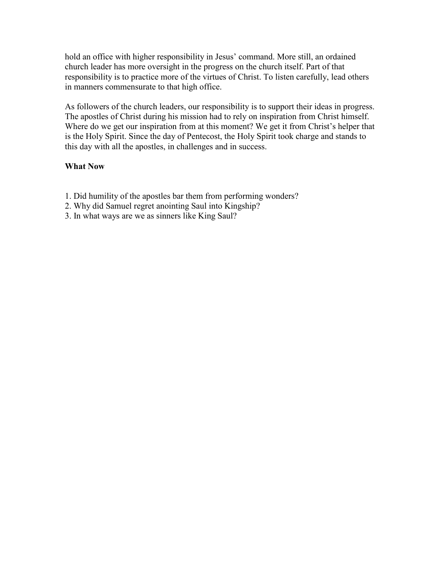hold an office with higher responsibility in Jesus' command. More still, an ordained church leader has more oversight in the progress on the church itself. Part of that responsibility is to practice more of the virtues of Christ. To listen carefully, lead others in manners commensurate to that high office.

As followers of the church leaders, our responsibility is to support their ideas in progress. The apostles of Christ during his mission had to rely on inspiration from Christ himself. Where do we get our inspiration from at this moment? We get it from Christ's helper that is the Holy Spirit. Since the day of Pentecost, the Holy Spirit took charge and stands to this day with all the apostles, in challenges and in success.

## **What Now**

- 1. Did humility of the apostles bar them from performing wonders?
- 2. Why did Samuel regret anointing Saul into Kingship?
- 3. In what ways are we as sinners like King Saul?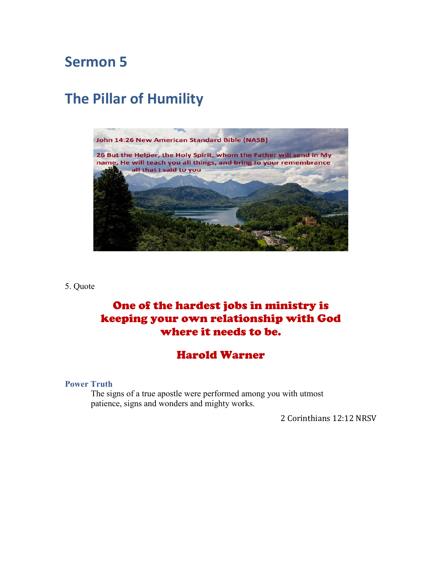# **The Pillar of Humility**



5. Quote

# One of the hardest jobs in ministry is keeping your own relationship with God where it needs to be.

# Harold Warner

#### **Power Truth**

The signs of a true apostle were performed among you with utmost patience, signs and wonders and mighty works.

2 Corinthians 12:12 NRSV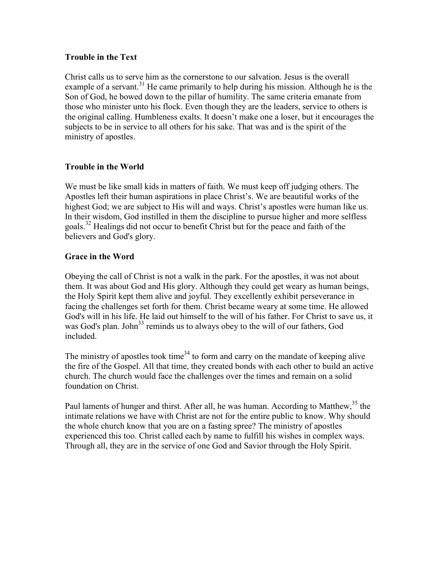## **Trouble in the Text**

Christ calls us to serve him as the cornerstone to our salvation. Jesus is the overall example of a servant.<sup>31</sup> He came primarily to help during his mission. Although he is the Son of God, he bowed down to the pillar of humility. The same criteria emanate from those who minister unto his flock. Even though they are the leaders, service to others is the original calling. Humbleness exalts. It doesn't make one a loser, but it encourages the subjects to be in service to all others for his sake. That was and is the spirit of the ministry of apostles.

## **Trouble in the World**

We must be like small kids in matters of faith. We must keep off judging others. The Apostles left their human aspirations in place Christ's. We are beautiful works of the highest God; we are subject to His will and ways. Christ's apostles were human like us. In their wisdom, God instilled in them the discipline to pursue higher and more selfless goals. <sup>32</sup> Healings did not occur to benefit Christ but for the peace and faith of the believers and God's glory.

## **Grace in the Word**

Obeying the call of Christ is not a walk in the park. For the apostles, it was not about them. It was about God and His glory. Although they could get weary as human beings, the Holy Spirit kept them alive and joyful. They excellently exhibit perseverance in facing the challenges set forth for them. Christ became weary at some time. He allowed God's will in his life. He laid out himself to the will of his father. For Christ to save us, it was God's plan. John<sup>33</sup> reminds us to always obey to the will of our fathers, God included.

The ministry of apostles took time<sup>34</sup> to form and carry on the mandate of keeping alive the fire of the Gospel. All that time, they created bonds with each other to build an active church. The church would face the challenges over the times and remain on a solid foundation on Christ.

Paul laments of hunger and thirst. After all, he was human. According to Matthew,<sup>35</sup> the intimate relations we have with Christ are not for the entire public to know. Why should the whole church know that you are on a fasting spree? The ministry of apostles experienced this too. Christ called each by name to fulfill his wishes in complex ways. Through all, they are in the service of one God and Savior through the Holy Spirit.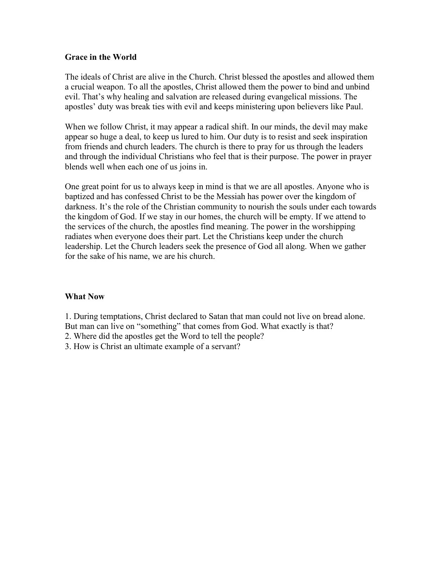### **Grace in the World**

The ideals of Christ are alive in the Church. Christ blessed the apostles and allowed them a crucial weapon. To all the apostles, Christ allowed them the power to bind and unbind evil. That's why healing and salvation are released during evangelical missions. The apostles' duty was break ties with evil and keeps ministering upon believers like Paul.

When we follow Christ, it may appear a radical shift. In our minds, the devil may make appear so huge a deal, to keep us lured to him. Our duty is to resist and seek inspiration from friends and church leaders. The church is there to pray for us through the leaders and through the individual Christians who feel that is their purpose. The power in prayer blends well when each one of us joins in.

One great point for us to always keep in mind is that we are all apostles. Anyone who is baptized and has confessed Christ to be the Messiah has power over the kingdom of darkness. It's the role of the Christian community to nourish the souls under each towards the kingdom of God. If we stay in our homes, the church will be empty. If we attend to the services of the church, the apostles find meaning. The power in the worshipping radiates when everyone does their part. Let the Christians keep under the church leadership. Let the Church leaders seek the presence of God all along. When we gather for the sake of his name, we are his church.

### **What Now**

1. During temptations, Christ declared to Satan that man could not live on bread alone.

But man can live on "something" that comes from God. What exactly is that?

2. Where did the apostles get the Word to tell the people?

3. How is Christ an ultimate example of a servant?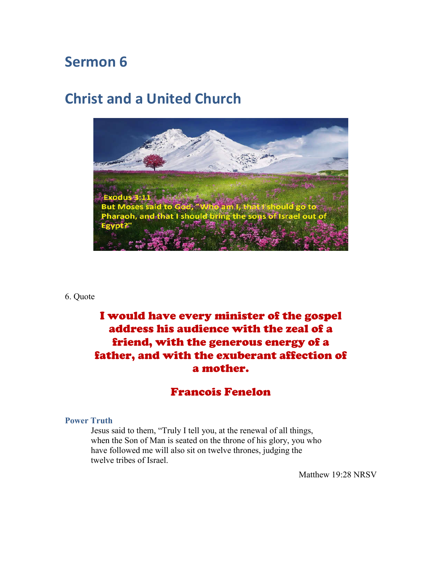# **Christ and a United Church**



#### 6. Quote

# I would have every minister of the gospel address his audience with the zeal of a friend, with the generous energy of a father, and with the exuberant affection of a mother.

# Francois Fenelon

#### **Power Truth**

Jesus said to them, "Truly I tell you, at the renewal of all things, when the Son of Man is seated on the throne of his glory, you who have followed me will also sit on twelve thrones, judging the twelve tribes of Israel.

Matthew 19:28 NRSV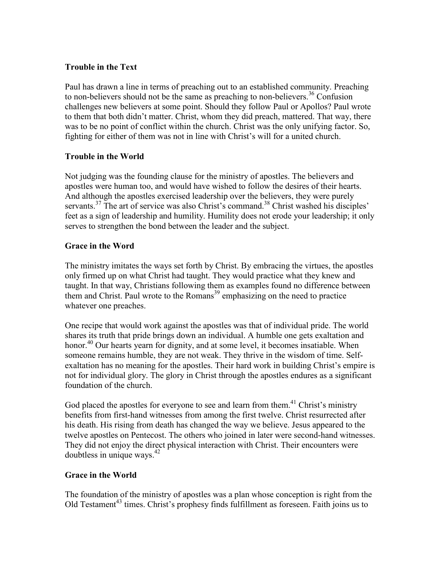## **Trouble in the Text**

Paul has drawn a line in terms of preaching out to an established community. Preaching to non-believers should not be the same as preaching to non-believers. <sup>36</sup> Confusion challenges new believers at some point. Should they follow Paul or Apollos? Paul wrote to them that both didn't matter. Christ, whom they did preach, mattered. That way, there was to be no point of conflict within the church. Christ was the only unifying factor. So, fighting for either of them was not in line with Christ's will for a united church.

## **Trouble in the World**

Not judging was the founding clause for the ministry of apostles. The believers and apostles were human too, and would have wished to follow the desires of their hearts. And although the apostles exercised leadership over the believers, they were purely servants.<sup>37</sup> The art of service was also Christ's command.<sup>38</sup> Christ washed his disciples' feet as a sign of leadership and humility. Humility does not erode your leadership; it only serves to strengthen the bond between the leader and the subject.

## **Grace in the Word**

The ministry imitates the ways set forth by Christ. By embracing the virtues, the apostles only firmed up on what Christ had taught. They would practice what they knew and taught. In that way, Christians following them as examples found no difference between them and Christ. Paul wrote to the Romans<sup>39</sup> emphasizing on the need to practice whatever one preaches.

One recipe that would work against the apostles was that of individual pride. The world shares its truth that pride brings down an individual. A humble one gets exaltation and honor.<sup>40</sup> Our hearts yearn for dignity, and at some level, it becomes insatiable. When someone remains humble, they are not weak. They thrive in the wisdom of time. Selfexaltation has no meaning for the apostles. Their hard work in building Christ's empire is not for individual glory. The glory in Christ through the apostles endures as a significant foundation of the church.

God placed the apostles for everyone to see and learn from them.<sup>41</sup> Christ's ministry benefits from first-hand witnesses from among the first twelve. Christ resurrected after his death. His rising from death has changed the way we believe. Jesus appeared to the twelve apostles on Pentecost. The others who joined in later were second-hand witnesses. They did not enjoy the direct physical interaction with Christ. Their encounters were doubtless in unique ways. 42

## **Grace in the World**

The foundation of the ministry of apostles was a plan whose conception is right from the Old Testament<sup>43</sup> times. Christ's prophesy finds fulfillment as foreseen. Faith joins us to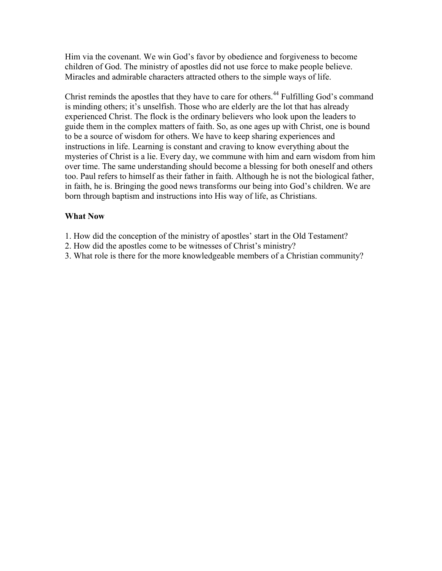Him via the covenant. We win God's favor by obedience and forgiveness to become children of God. The ministry of apostles did not use force to make people believe. Miracles and admirable characters attracted others to the simple ways of life.

Christ reminds the apostles that they have to care for others.<sup>44</sup> Fulfilling God's command is minding others; it's unselfish. Those who are elderly are the lot that has already experienced Christ. The flock is the ordinary believers who look upon the leaders to guide them in the complex matters of faith. So, as one ages up with Christ, one is bound to be a source of wisdom for others. We have to keep sharing experiences and instructions in life. Learning is constant and craving to know everything about the mysteries of Christ is a lie. Every day, we commune with him and earn wisdom from him over time. The same understanding should become a blessing for both oneself and others too. Paul refers to himself as their father in faith. Although he is not the biological father, in faith, he is. Bringing the good news transforms our being into God's children. We are born through baptism and instructions into His way of life, as Christians.

## **What Now**

- 1. How did the conception of the ministry of apostles' start in the Old Testament?
- 2. How did the apostles come to be witnesses of Christ's ministry?
- 3. What role is there for the more knowledgeable members of a Christian community?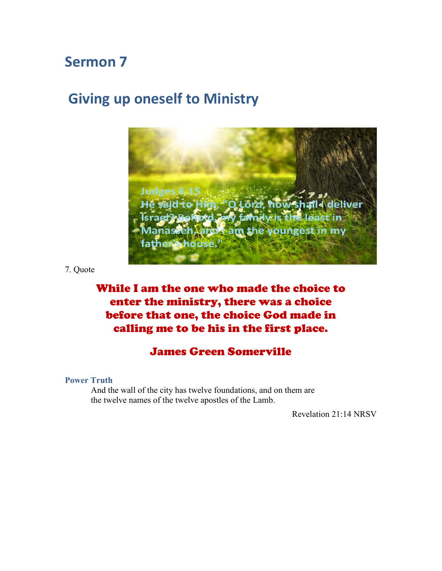# **Giving up oneself to Ministry**



7. Quote

# While I am the one who made the choice to enter the ministry, there was a choice before that one, the choice God made in calling me to be his in the first place.

# James Green Somerville

**Power Truth**

And the wall of the city has twelve foundations, and on them are the twelve names of the twelve apostles of the Lamb.

Revelation 21:14 NRSV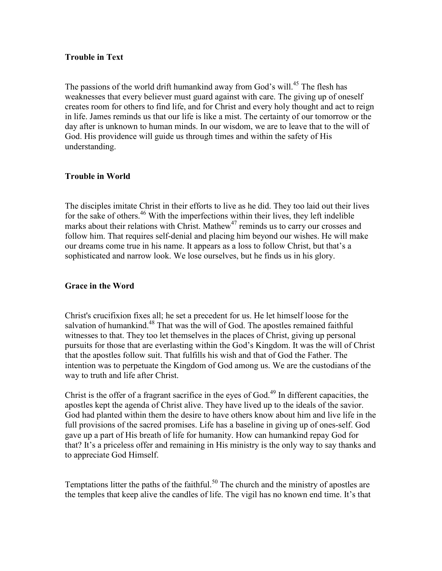### **Trouble in Text**

The passions of the world drift humankind away from God's will.<sup>45</sup> The flesh has weaknesses that every believer must guard against with care. The giving up of oneself creates room for others to find life, and for Christ and every holy thought and act to reign in life. James reminds us that our life is like a mist. The certainty of our tomorrow or the day after is unknown to human minds. In our wisdom, we are to leave that to the will of God. His providence will guide us through times and within the safety of His understanding.

## **Trouble in World**

The disciples imitate Christ in their efforts to live as he did. They too laid out their lives for the sake of others. <sup>46</sup> With the imperfections within their lives, they left indelible marks about their relations with Christ. Mathew<sup>47</sup> reminds us to carry our crosses and follow him. That requires self-denial and placing him beyond our wishes. He will make our dreams come true in his name. It appears as a loss to follow Christ, but that's a sophisticated and narrow look. We lose ourselves, but he finds us in his glory.

### **Grace in the Word**

Christ's crucifixion fixes all; he set a precedent for us. He let himself loose for the salvation of humankind.<sup>48</sup> That was the will of God. The apostles remained faithful witnesses to that. They too let themselves in the places of Christ, giving up personal pursuits for those that are everlasting within the God's Kingdom. It was the will of Christ that the apostles follow suit. That fulfills his wish and that of God the Father. The intention was to perpetuate the Kingdom of God among us. We are the custodians of the way to truth and life after Christ.

Christ is the offer of a fragrant sacrifice in the eyes of God. <sup>49</sup> In different capacities, the apostles kept the agenda of Christ alive. They have lived up to the ideals of the savior. God had planted within them the desire to have others know about him and live life in the full provisions of the sacred promises. Life has a baseline in giving up of ones-self. God gave up a part of His breath of life for humanity. How can humankind repay God for that? It's a priceless offer and remaining in His ministry is the only way to say thanks and to appreciate God Himself.

Temptations litter the paths of the faithful.<sup>50</sup> The church and the ministry of apostles are the temples that keep alive the candles of life. The vigil has no known end time. It's that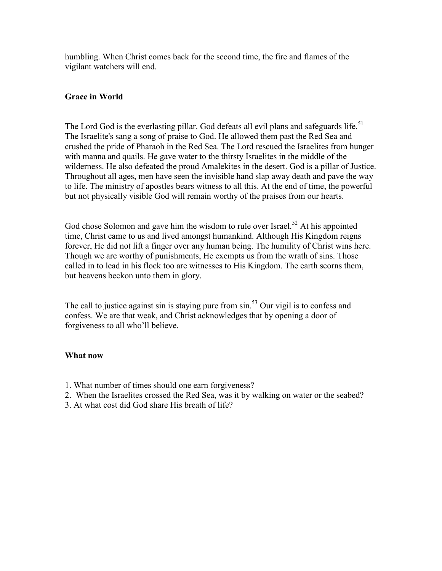humbling. When Christ comes back for the second time, the fire and flames of the vigilant watchers will end.

## **Grace in World**

The Lord God is the everlasting pillar. God defeats all evil plans and safeguards life.<sup>51</sup> The Israelite's sang a song of praise to God. He allowed them past the Red Sea and crushed the pride of Pharaoh in the Red Sea. The Lord rescued the Israelites from hunger with manna and quails. He gave water to the thirsty Israelites in the middle of the wilderness. He also defeated the proud Amalekites in the desert. God is a pillar of Justice. Throughout all ages, men have seen the invisible hand slap away death and pave the way to life. The ministry of apostles bears witness to all this. At the end of time, the powerful but not physically visible God will remain worthy of the praises from our hearts.

God chose Solomon and gave him the wisdom to rule over Israel.<sup>52</sup> At his appointed time, Christ came to us and lived amongst humankind. Although His Kingdom reigns forever, He did not lift a finger over any human being. The humility of Christ wins here. Though we are worthy of punishments, He exempts us from the wrath of sins. Those called in to lead in his flock too are witnesses to His Kingdom. The earth scorns them, but heavens beckon unto them in glory.

The call to justice against sin is staying pure from sin.<sup>53</sup> Our vigil is to confess and confess. We are that weak, and Christ acknowledges that by opening a door of forgiveness to all who'll believe.

### **What now**

- 1. What number of times should one earn forgiveness?
- 2. When the Israelites crossed the Red Sea, was it by walking on water or the seabed?
- 3. At what cost did God share His breath of life?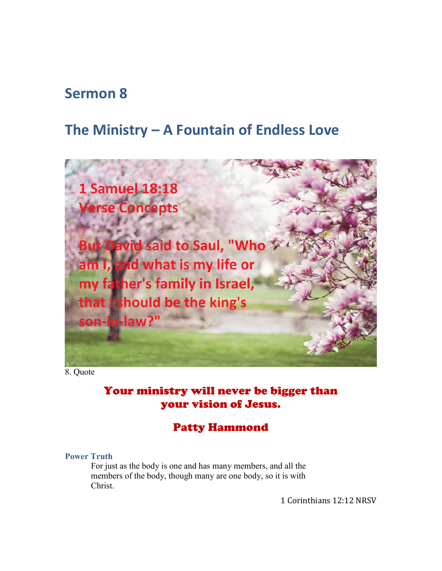# **The Ministry – A Fountain of Endless Love**



8. Quote

# Your ministry will never be bigger than your vision of Jesus.

# Patty Hammond

#### **Power Truth**

For just as the body is one and has many members, and all the members of the body, though many are one body, so it is with Christ.

1 Corinthians 12:12 NRSV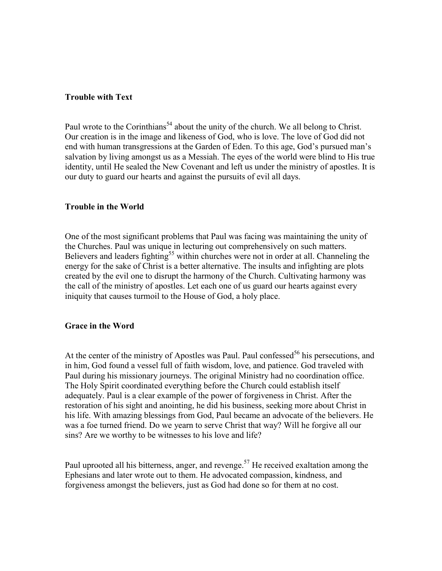#### **Trouble with Text**

Paul wrote to the Corinthians<sup>54</sup> about the unity of the church. We all belong to Christ. Our creation is in the image and likeness of God, who is love. The love of God did not end with human transgressions at the Garden of Eden. To this age, God's pursued man's salvation by living amongst us as a Messiah. The eyes of the world were blind to His true identity, until He sealed the New Covenant and left us under the ministry of apostles. It is our duty to guard our hearts and against the pursuits of evil all days.

#### **Trouble in the World**

One of the most significant problems that Paul was facing was maintaining the unity of the Churches. Paul was unique in lecturing out comprehensively on such matters. Believers and leaders fighting<sup>55</sup> within churches were not in order at all. Channeling the energy for the sake of Christ is a better alternative. The insults and infighting are plots created by the evil one to disrupt the harmony of the Church. Cultivating harmony was the call of the ministry of apostles. Let each one of us guard our hearts against every iniquity that causes turmoil to the House of God, a holy place.

#### **Grace in the Word**

At the center of the ministry of Apostles was Paul. Paul confessed<sup>56</sup> his persecutions, and in him, God found a vessel full of faith wisdom, love, and patience. God traveled with Paul during his missionary journeys. The original Ministry had no coordination office. The Holy Spirit coordinated everything before the Church could establish itself adequately. Paul is a clear example of the power of forgiveness in Christ. After the restoration of his sight and anointing, he did his business, seeking more about Christ in his life. With amazing blessings from God, Paul became an advocate of the believers. He was a foe turned friend. Do we yearn to serve Christ that way? Will he forgive all our sins? Are we worthy to be witnesses to his love and life?

Paul uprooted all his bitterness, anger, and revenge.<sup>57</sup> He received exaltation among the Ephesians and later wrote out to them. He advocated compassion, kindness, and forgiveness amongst the believers, just as God had done so for them at no cost.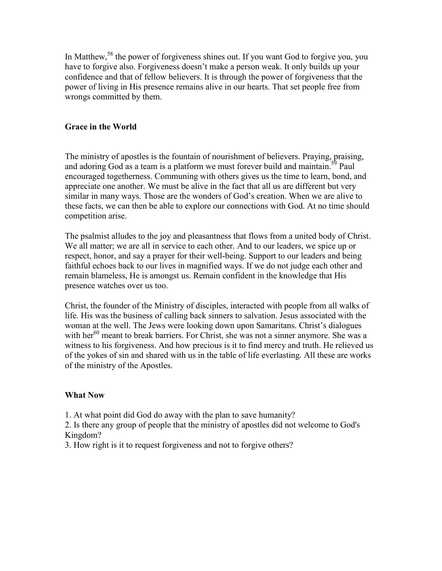In Matthew,<sup>58</sup> the power of forgiveness shines out. If you want God to forgive you, you have to forgive also. Forgiveness doesn't make a person weak. It only builds up your confidence and that of fellow believers. It is through the power of forgiveness that the power of living in His presence remains alive in our hearts. That set people free from wrongs committed by them.

## **Grace in the World**

The ministry of apostles is the fountain of nourishment of believers. Praying, praising, and adoring God as a team is a platform we must forever build and maintain.<sup>59</sup> Paul encouraged togetherness. Communing with others gives us the time to learn, bond, and appreciate one another. We must be alive in the fact that all us are different but very similar in many ways. Those are the wonders of God's creation. When we are alive to these facts, we can then be able to explore our connections with God. At no time should competition arise.

The psalmist alludes to the joy and pleasantness that flows from a united body of Christ. We all matter; we are all in service to each other. And to our leaders, we spice up or respect, honor, and say a prayer for their well-being. Support to our leaders and being faithful echoes back to our lives in magnified ways. If we do not judge each other and remain blameless, He is amongst us. Remain confident in the knowledge that His presence watches over us too.

Christ, the founder of the Ministry of disciples, interacted with people from all walks of life. His was the business of calling back sinners to salvation. Jesus associated with the woman at the well. The Jews were looking down upon Samaritans. Christ's dialogues with her $^{60}$  meant to break barriers. For Christ, she was not a sinner anymore. She was a witness to his forgiveness. And how precious is it to find mercy and truth. He relieved us of the yokes of sin and shared with us in the table of life everlasting. All these are works of the ministry of the Apostles.

### **What Now**

1. At what point did God do away with the plan to save humanity?

2. Is there any group of people that the ministry of apostles did not welcome to God's Kingdom?

3. How right is it to request forgiveness and not to forgive others?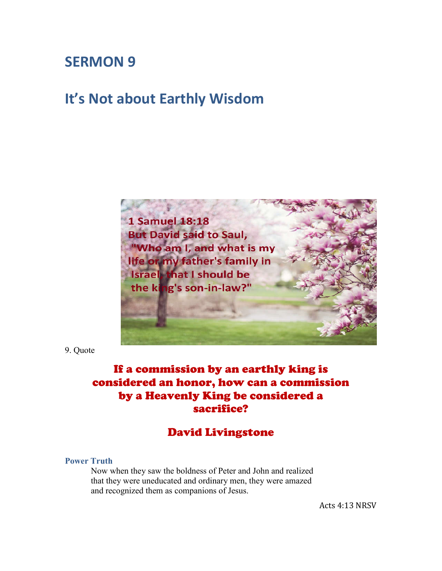# **SERMON 9**

# **It's Not about Earthly Wisdom**



9. Quote

# If a commission by an earthly king is considered an honor, how can a commission by a Heavenly King be considered a sacrifice?

# David Livingstone

## **Power Truth**

Now when they saw the boldness of Peter and John and realized that they were uneducated and ordinary men, they were amazed and recognized them as companions of Jesus.

Acts 4:13 NRSV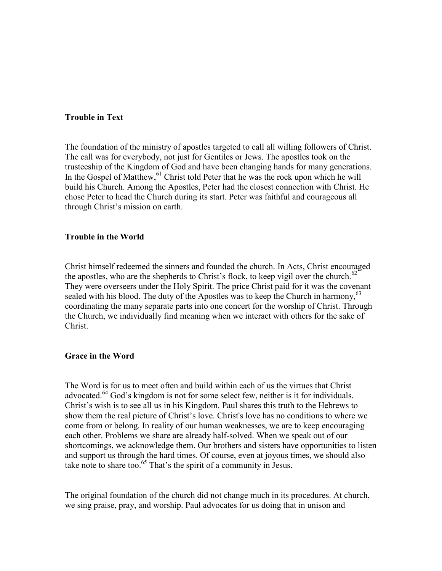### **Trouble in Text**

The foundation of the ministry of apostles targeted to call all willing followers of Christ. The call was for everybody, not just for Gentiles or Jews. The apostles took on the trusteeship of the Kingdom of God and have been changing hands for many generations. In the Gospel of Matthew,<sup>61</sup> Christ told Peter that he was the rock upon which he will build his Church. Among the Apostles, Peter had the closest connection with Christ. He chose Peter to head the Church during its start. Peter was faithful and courageous all through Christ's mission on earth.

#### **Trouble in the World**

Christ himself redeemed the sinners and founded the church. In Acts, Christ encouraged the apostles, who are the shepherds to Christ's flock, to keep vigil over the church. $62$ They were overseers under the Holy Spirit. The price Christ paid for it was the covenant sealed with his blood. The duty of the Apostles was to keep the Church in harmony,<sup>63</sup> coordinating the many separate parts into one concert for the worship of Christ. Through the Church, we individually find meaning when we interact with others for the sake of Christ.

### **Grace in the Word**

The Word is for us to meet often and build within each of us the virtues that Christ advocated.<sup>64</sup> God's kingdom is not for some select few, neither is it for individuals. Christ's wish is to see all us in his Kingdom. Paul shares this truth to the Hebrews to show them the real picture of Christ's love. Christ's love has no conditions to where we come from or belong. In reality of our human weaknesses, we are to keep encouraging each other. Problems we share are already half-solved. When we speak out of our shortcomings, we acknowledge them. Our brothers and sisters have opportunities to listen and support us through the hard times. Of course, even at joyous times, we should also take note to share too.<sup>65</sup> That's the spirit of a community in Jesus.

The original foundation of the church did not change much in its procedures. At church, we sing praise, pray, and worship. Paul advocates for us doing that in unison and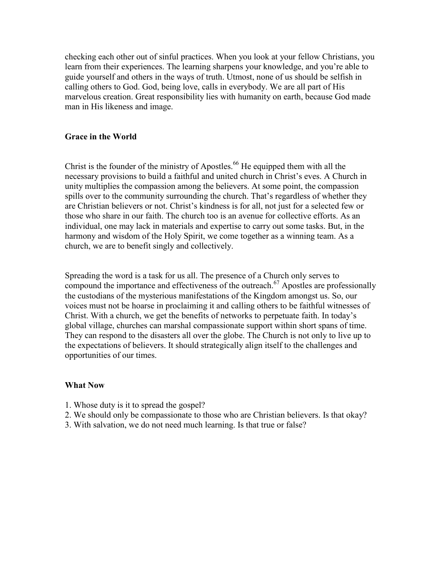checking each other out of sinful practices. When you look at your fellow Christians, you learn from their experiences. The learning sharpens your knowledge, and you're able to guide yourself and others in the ways of truth. Utmost, none of us should be selfish in calling others to God. God, being love, calls in everybody. We are all part of His marvelous creation. Great responsibility lies with humanity on earth, because God made man in His likeness and image.

## **Grace in the World**

Christ is the founder of the ministry of Apostles. <sup>66</sup> He equipped them with all the necessary provisions to build a faithful and united church in Christ's eves. A Church in unity multiplies the compassion among the believers. At some point, the compassion spills over to the community surrounding the church. That's regardless of whether they are Christian believers or not. Christ's kindness is for all, not just for a selected few or those who share in our faith. The church too is an avenue for collective efforts. As an individual, one may lack in materials and expertise to carry out some tasks. But, in the harmony and wisdom of the Holy Spirit, we come together as a winning team. As a church, we are to benefit singly and collectively.

Spreading the word is a task for us all. The presence of a Church only serves to compound the importance and effectiveness of the outreach. <sup>67</sup> Apostles are professionally the custodians of the mysterious manifestations of the Kingdom amongst us. So, our voices must not be hoarse in proclaiming it and calling others to be faithful witnesses of Christ. With a church, we get the benefits of networks to perpetuate faith. In today's global village, churches can marshal compassionate support within short spans of time. They can respond to the disasters all over the globe. The Church is not only to live up to the expectations of believers. It should strategically align itself to the challenges and opportunities of our times.

### **What Now**

- 1. Whose duty is it to spread the gospel?
- 2. We should only be compassionate to those who are Christian believers. Is that okay?
- 3. With salvation, we do not need much learning. Is that true or false?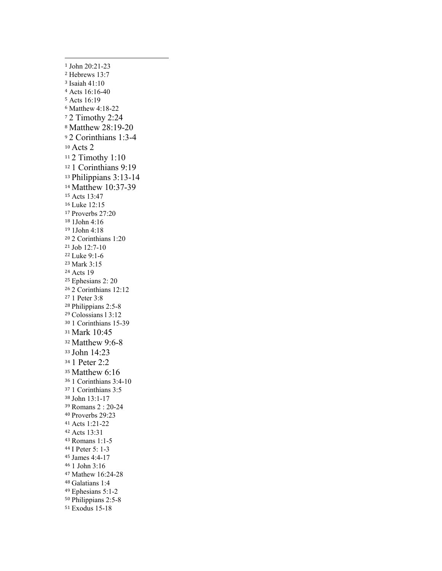John 20:21-23 Hebrews 13:7 Isaiah 41:10 Acts 16:16-40 Acts 16:19 Matthew 4:18-22 2 Timothy 2:24 Matthew 28:19-20 2 Corinthians 1:3-4 Acts 2 2 Timothy 1:10 1 Corinthians 9:19 Philippians 3:13-14 Matthew 10:37-39 Acts 13:47 Luke 12:15 Proverbs 27:20 1John 4:16 1John 4:18 2 Corinthians 1:20 Job 12:7-10 Luke 9:1-6 Mark 3:15 Acts 19 Ephesians 2: 20 2 Corinthians 12:12 1 Peter 3:8 Philippians 2:5-8 Colossians l 3:12 1 Corinthians 15-39 Mark 10:45 Matthew 9:6-8 John 14:23 1 Peter 2:2 Matthew 6:16 1 Corinthians 3:4-10 1 Corinthians 3:5 John 13:1-17 Romans 2 : 20-24 Proverbs 29:23 Acts 1:21-22 Acts 13:31 Romans 1:1-5 I Peter 5: 1-3 James 4:4-17 1 John 3:16 Mathew 16:24-28 Galatians 1:4 Ephesians 5:1-2 Philippians 2:5-8 Exodus 15-18